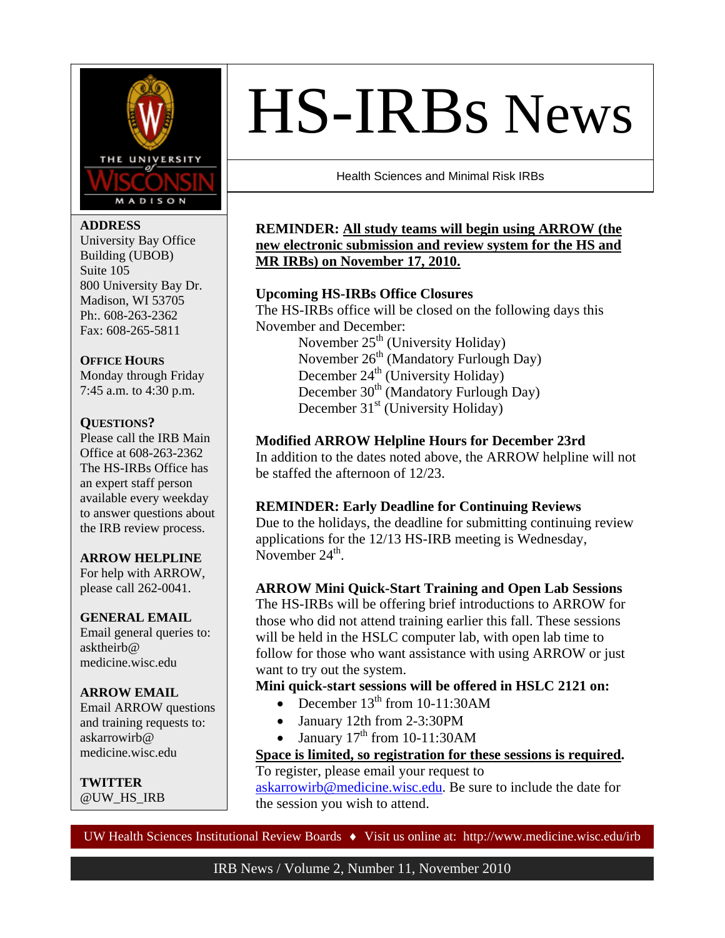

I

### **ADDRESS**

University Bay Office Building (UBOB) Suite 105 800 University Bay Dr. Madison, WI 53705 Ph:. 608-263-2362 Fax: 608-265-5811

### **OFFICE HOURS**

Monday through Friday 7:45 a.m. to 4:30 p.m.

# **QUESTIONS?**

Please call the IRB Main Office at 608-263-2362 The HS-IRBs Office has an expert staff person available every weekday to answer questions about the IRB review process.

### **ARROW HELPLINE**

For help with ARROW, please call 262-0041.

### **GENERAL EMAIL**

Email general queries to: asktheirb@ medicine.wisc.edu

**ARROW EMAIL**  Email ARROW questions and training requests to: askarrowirb@ medicine.wisc.edu

**TWITTER**  @UW\_HS\_IRB

# HS-IRBs News

Health Sciences and Minimal Risk IRBs

# **REMINDER: All study teams will begin using ARROW (the new electronic submission and review system for the HS and MR IRBs) on November 17, 2010.**

# **Upcoming HS-IRBs Office Closures**

The HS-IRBs office will be closed on the following days this November and December: November  $25<sup>th</sup>$  (University Holiday) November 26<sup>th</sup> (Mandatory Furlough Day) December 24<sup>th</sup> (University Holiday) December  $30<sup>th</sup>$  (Mandatory Furlough Day) December  $31<sup>st</sup>$  (University Holiday)

# **Modified ARROW Helpline Hours for December 23rd**

In addition to the dates noted above, the ARROW helpline will not be staffed the afternoon of 12/23.

# **REMINDER: Early Deadline for Continuing Reviews**

Due to the holidays, the deadline for submitting continuing review applications for the 12/13 HS-IRB meeting is Wednesday, November  $24<sup>th</sup>$ .

### **ARROW Mini Quick-Start Training and Open Lab Sessions**

The HS-IRBs will be offering brief introductions to ARROW for those who did not attend training earlier this fall. These sessions will be held in the HSLC computer lab, with open lab time to follow for those who want assistance with using ARROW or just want to try out the system.

### **Mini quick-start sessions will be offered in HSLC 2121 on:**

- December  $13<sup>th</sup>$  from 10-11:30AM
- January 12th from 2-3:30PM
- January  $17<sup>th</sup>$  from 10-11:30AM

### **Space is limited, so registration for these sessions is required.**  To register, please email your request to

[askarrowirb@medicine.wisc.edu.](mailto:askarrowirb@medicine.wisc.edu) Be sure to include the date for the session you wish to attend.

UW Health Sciences Institutional Review Boards  $\bullet$  Visit us online at: http://www.medicine.wisc.edu/irb

IRB News / Volume 2, Number 11, November 2010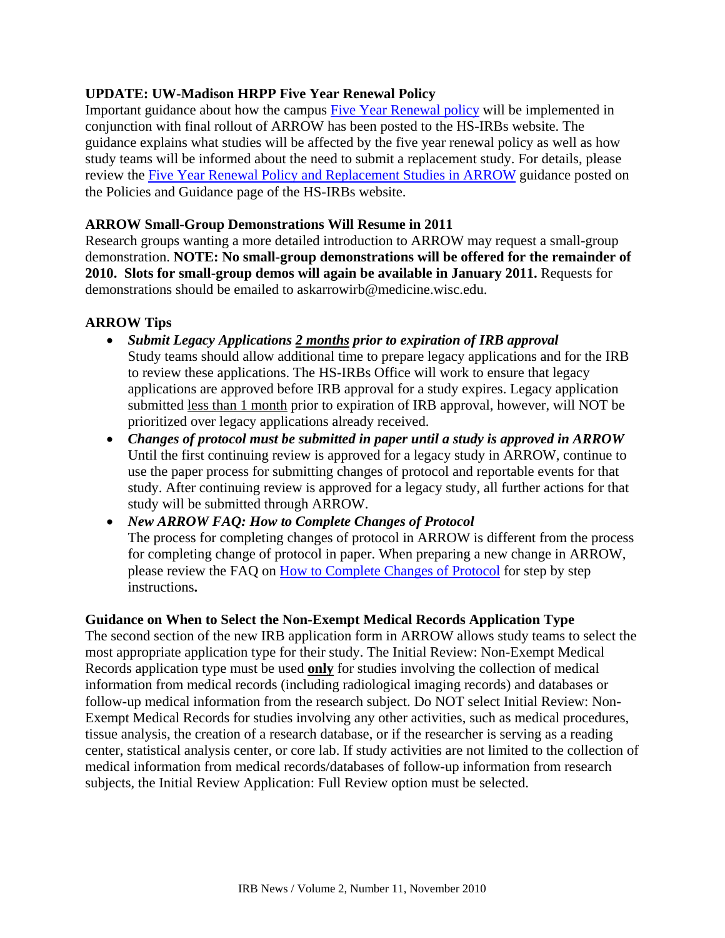# **UPDATE: UW-Madison HRPP Five Year Renewal Policy**

Important guidance about how the campus [Five Year Renewal policy](http://my.gradsch.wisc.edu/hrpp/10115.htm) will be implemented in conjunction with final rollout of ARROW has been posted to the HS-IRBs website. The guidance explains what studies will be affected by the five year renewal policy as well as how study teams will be informed about the need to submit a replacement study. For details, please review the [Five Year Renewal Policy and Replacement Studies in ARROW](http://www.grad.wisc.edu/research/hrpp/hsirbs/documents/Replacementstudyguidance.pdf) guidance posted on the Policies and Guidance page of the HS-IRBs website.

### **ARROW Small-Group Demonstrations Will Resume in 2011**

Research groups wanting a more detailed introduction to ARROW may request a small-group demonstration. **NOTE: No small-group demonstrations will be offered for the remainder of 2010. Slots for small-group demos will again be available in January 2011.** Requests for demonstrations should be emailed to askarrowirb@medicine.wisc.edu.

# **ARROW Tips**

- *Submit Legacy Applications 2 months prior to expiration of IRB approval* Study teams should allow additional time to prepare legacy applications and for the IRB to review these applications. The HS-IRBs Office will work to ensure that legacy applications are approved before IRB approval for a study expires. Legacy application submitted less than 1 month prior to expiration of IRB approval, however, will NOT be prioritized over legacy applications already received.
- *Changes of protocol must be submitted in paper until a study is approved in ARROW*  Until the first continuing review is approved for a legacy study in ARROW, continue to use the paper process for submitting changes of protocol and reportable events for that study. After continuing review is approved for a legacy study, all further actions for that study will be submitted through ARROW.

 *New ARROW FAQ: How to Complete Changes of Protocol*  The process for completing changes of protocol in ARROW is different from the process for completing change of protocol in paper. When preparing a new change in ARROW, please review the FAQ on [How to Complete Changes of Protocol](http://www.grad.wisc.edu/research/hrpp/hsirbs/arrow/documents/FAQsCPInstructions.pdf) for step by step instructions**.** 

### **Guidance on When to Select the Non-Exempt Medical Records Application Type**

The second section of the new IRB application form in ARROW allows study teams to select the most appropriate application type for their study. The Initial Review: Non-Exempt Medical Records application type must be used **only** for studies involving the collection of medical information from medical records (including radiological imaging records) and databases or follow-up medical information from the research subject. Do NOT select Initial Review: Non-Exempt Medical Records for studies involving any other activities, such as medical procedures, tissue analysis, the creation of a research database, or if the researcher is serving as a reading center, statistical analysis center, or core lab. If study activities are not limited to the collection of medical information from medical records/databases of follow-up information from research subjects, the Initial Review Application: Full Review option must be selected.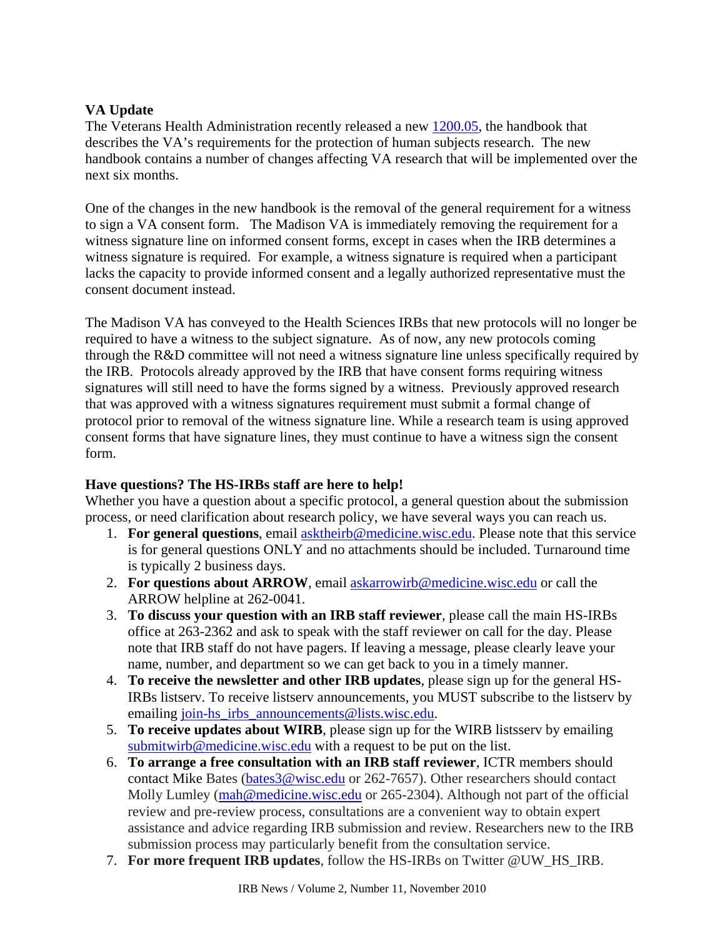# **VA Update**

The Veterans Health Administration recently released a new [1200.05](http://www1.va.gov/vhapublications/ViewPublication.asp?pub_ID=2326), the handbook that describes the VA's requirements for the protection of human subjects research. The new handbook contains a number of changes affecting VA research that will be implemented over the next six months.

One of the changes in the new handbook is the removal of the general requirement for a witness to sign a VA consent form. The Madison VA is immediately removing the requirement for a witness signature line on informed consent forms, except in cases when the IRB determines a witness signature is required. For example, a witness signature is required when a participant lacks the capacity to provide informed consent and a legally authorized representative must the consent document instead.

The Madison VA has conveyed to the Health Sciences IRBs that new protocols will no longer be required to have a witness to the subject signature. As of now, any new protocols coming through the R&D committee will not need a witness signature line unless specifically required by the IRB. Protocols already approved by the IRB that have consent forms requiring witness signatures will still need to have the forms signed by a witness. Previously approved research that was approved with a witness signatures requirement must submit a formal change of protocol prior to removal of the witness signature line. While a research team is using approved consent forms that have signature lines, they must continue to have a witness sign the consent form.

# **Have questions? The HS-IRBs staff are here to help!**

Whether you have a question about a specific protocol, a general question about the submission process, or need clarification about research policy, we have several ways you can reach us.

- 1. **For general questions**, email [asktheirb@medicine.wisc.edu.](mailto:asktheirb@medicine.wisc.edu) Please note that this service is for general questions ONLY and no attachments should be included. Turnaround time is typically 2 business days.
- 2. **For questions about ARROW**, email **askarrowirb@medicine.wisc.edu** or call the ARROW helpline at 262-0041.
- 3. **To discuss your question with an IRB staff reviewer**, please call the main HS-IRBs office at 263-2362 and ask to speak with the staff reviewer on call for the day. Please note that IRB staff do not have pagers. If leaving a message, please clearly leave your name, number, and department so we can get back to you in a timely manner.
- 4. **To receive the newsletter and other IRB updates**, please sign up for the general HS-IRBs listserv. To receive listserv announcements, you MUST subscribe to the listserv by emailing [join-hs\\_irbs\\_announcements@lists.wisc.edu.](mailto:join-hs_irbs_announcements@lists.wisc.edu)
- 5. **To receive updates about WIRB**, please sign up for the WIRB listsserv by emailing [submitwirb@medicine.wisc.edu](mailto:submitwirb@medicine.wisc.edu) with a request to be put on the list.
- 6. **To arrange a free consultation with an IRB staff reviewer**, ICTR members should contact Mike Bates ([bates3@wisc.edu](mailto:bates3@wisc.edu) or 262-7657). Other researchers should contact Molly Lumley ([mah@medicine.wisc.edu](mailto:mah@medicine.wisc.edu) or 265-2304). Although not part of the official review and pre-review process, consultations are a convenient way to obtain expert assistance and advice regarding IRB submission and review. Researchers new to the IRB submission process may particularly benefit from the consultation service.
- 7. **For more frequent IRB updates**, follow the HS-IRBs on Twitter @UW\_HS\_IRB.